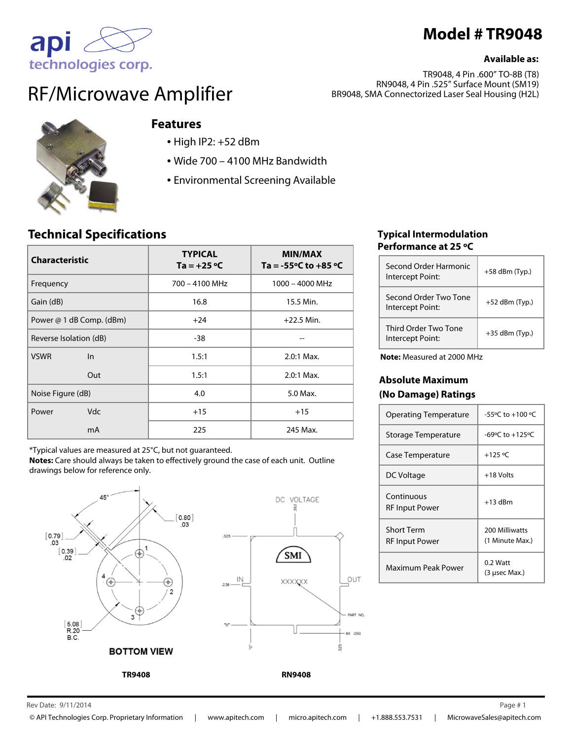

### **Available as:**

technologies corp. RF/Microwave Amplifier

TR9048, 4 Pin .600" TO-8B (T8) RN9048, 4 Pin .525" Surface Mount (SM19) BR9048, SMA Connectorized Laser Seal Housing (H2L)



apl

## **Features**

- High IP2: +52 dBm
- Wide 700 4100 MHz Bandwidth
- Environmental Screening Available

# **Technical Specifications**

| <b>Characteristic</b>    | <b>TYPICAL</b><br>Ta = $+25$ °C | <b>MIN/MAX</b><br>Ta = -55 $\degree$ C to +85 $\degree$ C |
|--------------------------|---------------------------------|-----------------------------------------------------------|
| Frequency                | $700 - 4100$ MHz                | $1000 - 4000$ MHz                                         |
| Gain (dB)                | 16.8                            | 15.5 Min.                                                 |
| Power @ 1 dB Comp. (dBm) | $+24$                           | $+22.5$ Min.                                              |
| Reverse Isolation (dB)   | $-38$                           |                                                           |
| <b>VSWR</b><br>In        | 1.5:1                           | $2.0:1$ Max.                                              |
| Out                      | 1.5:1                           | $2.0:1$ Max.                                              |
| Noise Figure (dB)        | 4.0                             | 5.0 Max.                                                  |
| <b>Vdc</b><br>Power      | $+15$                           | $+15$                                                     |
| mA                       | 225                             | 245 Max.                                                  |

\*Typical values are measured at 25°C, but not guaranteed.

**Notes:** Care should always be taken to effectively ground the case of each unit. Outline drawings below for reference only.





**TR9408 RN9408**

### **Typical Intermodulation Performance at 25 ºC**

| Second Order Harmonic<br>Intercept Point: | $+58$ dBm (Typ.) |
|-------------------------------------------|------------------|
| Second Order Two Tone<br>Intercept Point: | $+52$ dBm (Typ.) |
| Third Order Two Tone<br>Intercept Point:  | $+35$ dBm (Typ.) |

**Note:** Measured at 2000 MHz

### **Absolute Maximum (No Damage) Ratings**

| <b>Operating Temperature</b>        | $-55^{\circ}$ C to $+100^{\circ}$ C |
|-------------------------------------|-------------------------------------|
| Storage Temperature                 | -69 $\degree$ C to +125 $\degree$ C |
| Case Temperature                    | $+125 °C$                           |
| DC Voltage                          | +18 Volts                           |
| Continuous<br>RF Input Power        | $+13$ dBm                           |
| Short Term<br><b>RF Input Power</b> | 200 Milliwatts<br>(1 Minute Max.)   |
| Maximum Peak Power                  | 0.2 Watt<br>(3 usec Max.)           |

Rev Date:  $9/11/2014$  Page #1 9/11/2014 1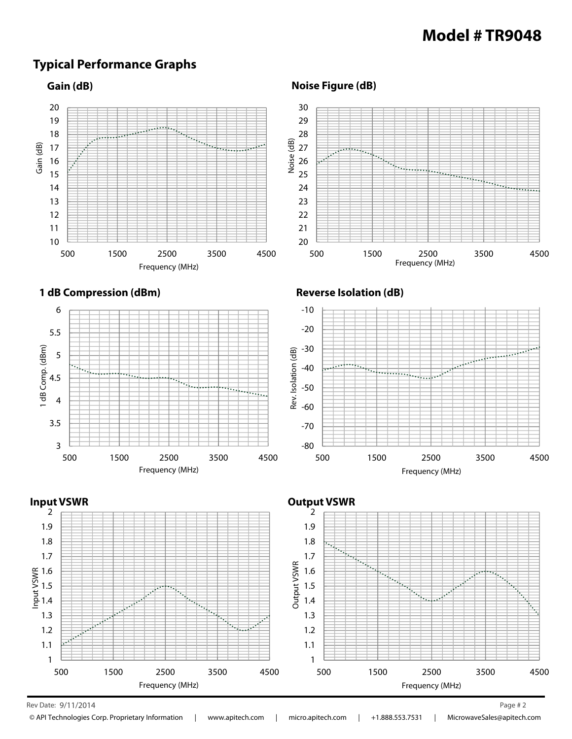# **Model # TR9048**

# **Typical Performance Graphs**

### **Gain (dB)**



**Noise Figure (dB)**







#### Rev Date:  $9/11/2014$  Page # 2 9/11/2014 2